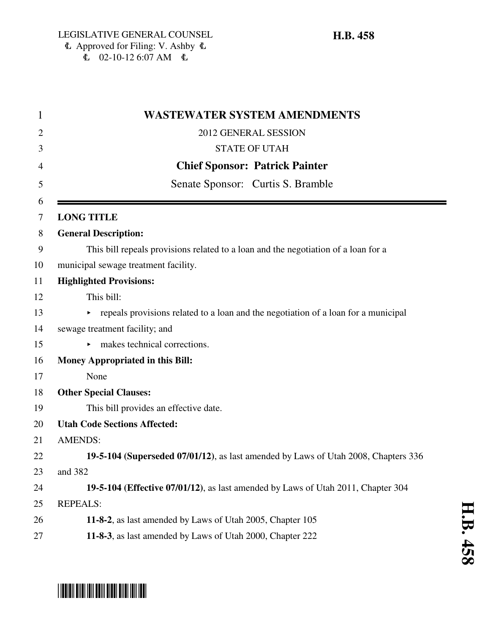$\text{L}$  02-10-12 6:07 AM  $\text{L}$ 

## 1 **WASTEWATER SYSTEM AMENDMENTS** 2012 GENERAL SESSION 3 STATE OF UTAH 4 **Chief Sponsor: Patrick Painter** 5 Senate Sponsor: Curtis S. Bramble 6 7 **LONG TITLE** 8 **General Description:** 9 This bill repeals provisions related to a loan and the negotiation of a loan for a 10 municipal sewage treatment facility. 11 **Highlighted Provisions:** 12 This bill:  $\rightarrow$  repeals provisions related to a loan and the negotiation of a loan for a municipal 14 sewage treatment facility; and 15 makes technical corrections. 16 **Money Appropriated in this Bill:** 17 None 18 **Other Special Clauses:** 19 This bill provides an effective date. 20 **Utah Code Sections Affected:** 21 AMENDS: 22 **19-5-104 (Superseded 07/01/12)**, as last amended by Laws of Utah 2008, Chapters 336 23 and 382 24 **19-5-104 (Effective 07/01/12)**, as last amended by Laws of Utah 2011, Chapter 304 25 REPEALS: 26 **11-8-2**, as last amended by Laws of Utah 2005, Chapter 105 27 **11-8-3**, as last amended by Laws of Utah 2000, Chapter 222

# \*HB0458\*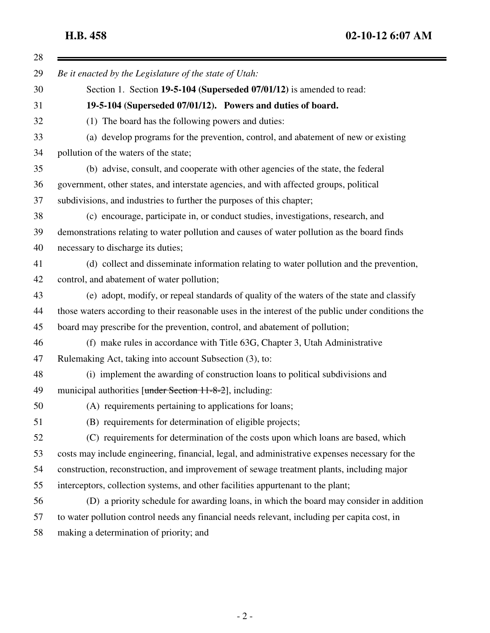**H.B. 458 02-10-12 6:07 AM**

| 28 |                                                                                                    |
|----|----------------------------------------------------------------------------------------------------|
| 29 | Be it enacted by the Legislature of the state of Utah:                                             |
| 30 | Section 1. Section 19-5-104 (Superseded 07/01/12) is amended to read:                              |
| 31 | 19-5-104 (Superseded 07/01/12). Powers and duties of board.                                        |
| 32 | (1) The board has the following powers and duties:                                                 |
| 33 | (a) develop programs for the prevention, control, and abatement of new or existing                 |
| 34 | pollution of the waters of the state;                                                              |
| 35 | (b) advise, consult, and cooperate with other agencies of the state, the federal                   |
| 36 | government, other states, and interstate agencies, and with affected groups, political             |
| 37 | subdivisions, and industries to further the purposes of this chapter;                              |
| 38 | (c) encourage, participate in, or conduct studies, investigations, research, and                   |
| 39 | demonstrations relating to water pollution and causes of water pollution as the board finds        |
| 40 | necessary to discharge its duties;                                                                 |
| 41 | (d) collect and disseminate information relating to water pollution and the prevention,            |
| 42 | control, and abatement of water pollution;                                                         |
| 43 | (e) adopt, modify, or repeal standards of quality of the waters of the state and classify          |
| 44 | those waters according to their reasonable uses in the interest of the public under conditions the |
| 45 | board may prescribe for the prevention, control, and abatement of pollution;                       |
| 46 | (f) make rules in accordance with Title 63G, Chapter 3, Utah Administrative                        |
| 47 | Rulemaking Act, taking into account Subsection (3), to:                                            |
| 48 | (i) implement the awarding of construction loans to political subdivisions and                     |
| 49 | municipal authorities [under Section 11-8-2], including:                                           |
| 50 | (A) requirements pertaining to applications for loans;                                             |
| 51 | (B) requirements for determination of eligible projects;                                           |
| 52 | (C) requirements for determination of the costs upon which loans are based, which                  |
| 53 | costs may include engineering, financial, legal, and administrative expenses necessary for the     |
| 54 | construction, reconstruction, and improvement of sewage treatment plants, including major          |
| 55 | interceptors, collection systems, and other facilities appurtenant to the plant;                   |
| 56 | (D) a priority schedule for awarding loans, in which the board may consider in addition            |
| 57 | to water pollution control needs any financial needs relevant, including per capita cost, in       |
| 58 | making a determination of priority; and                                                            |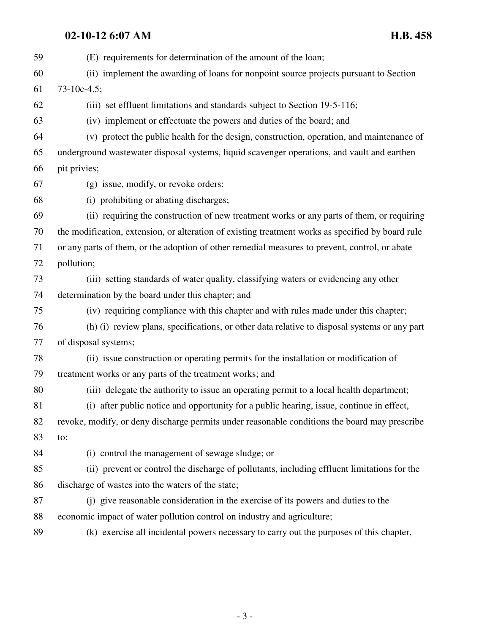| 59 | (E) requirements for determination of the amount of the loan;                                     |
|----|---------------------------------------------------------------------------------------------------|
| 60 | (ii) implement the awarding of loans for nonpoint source projects pursuant to Section             |
| 61 | $73-10c-4.5;$                                                                                     |
| 62 | (iii) set effluent limitations and standards subject to Section 19-5-116;                         |
| 63 | (iv) implement or effectuate the powers and duties of the board; and                              |
| 64 | (v) protect the public health for the design, construction, operation, and maintenance of         |
| 65 | underground wastewater disposal systems, liquid scavenger operations, and vault and earthen       |
| 66 | pit privies;                                                                                      |
| 67 | (g) issue, modify, or revoke orders:                                                              |
| 68 | (i) prohibiting or abating discharges;                                                            |
| 69 | (ii) requiring the construction of new treatment works or any parts of them, or requiring         |
| 70 | the modification, extension, or alteration of existing treatment works as specified by board rule |
| 71 | or any parts of them, or the adoption of other remedial measures to prevent, control, or abate    |
| 72 | pollution;                                                                                        |
| 73 | (iii) setting standards of water quality, classifying waters or evidencing any other              |
| 74 | determination by the board under this chapter; and                                                |
| 75 | (iv) requiring compliance with this chapter and with rules made under this chapter;               |
| 76 | (h) (i) review plans, specifications, or other data relative to disposal systems or any part      |
| 77 | of disposal systems;                                                                              |
| 78 | (ii) issue construction or operating permits for the installation or modification of              |
| 79 | treatment works or any parts of the treatment works; and                                          |
| 80 | (iii) delegate the authority to issue an operating permit to a local health department;           |
| 81 | (i) after public notice and opportunity for a public hearing, issue, continue in effect,          |
| 82 | revoke, modify, or deny discharge permits under reasonable conditions the board may prescribe     |
| 83 | to:                                                                                               |
| 84 | (i) control the management of sewage sludge; or                                                   |
| 85 | (ii) prevent or control the discharge of pollutants, including effluent limitations for the       |
| 86 | discharge of wastes into the waters of the state;                                                 |
| 87 | (j) give reasonable consideration in the exercise of its powers and duties to the                 |
| 88 | economic impact of water pollution control on industry and agriculture;                           |
| 89 | (k) exercise all incidental powers necessary to carry out the purposes of this chapter,           |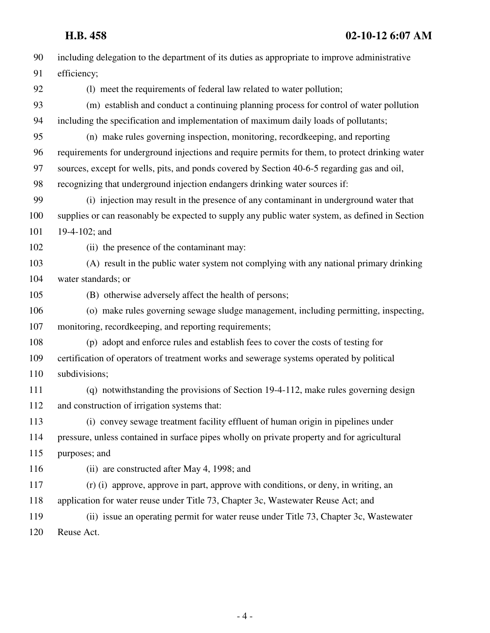| 90  | including delegation to the department of its duties as appropriate to improve administrative   |
|-----|-------------------------------------------------------------------------------------------------|
| 91  | efficiency;                                                                                     |
| 92  | (1) meet the requirements of federal law related to water pollution;                            |
| 93  | (m) establish and conduct a continuing planning process for control of water pollution          |
| 94  | including the specification and implementation of maximum daily loads of pollutants;            |
| 95  | (n) make rules governing inspection, monitoring, recordkeeping, and reporting                   |
| 96  | requirements for underground injections and require permits for them, to protect drinking water |
| 97  | sources, except for wells, pits, and ponds covered by Section 40-6-5 regarding gas and oil,     |
| 98  | recognizing that underground injection endangers drinking water sources if:                     |
| 99  | (i) injection may result in the presence of any contaminant in underground water that           |
| 100 | supplies or can reasonably be expected to supply any public water system, as defined in Section |
| 101 | 19-4-102; and                                                                                   |
| 102 | (ii) the presence of the contaminant may:                                                       |
| 103 | (A) result in the public water system not complying with any national primary drinking          |
| 104 | water standards; or                                                                             |
| 105 | (B) otherwise adversely affect the health of persons;                                           |
| 106 | (o) make rules governing sewage sludge management, including permitting, inspecting,            |
| 107 | monitoring, recordkeeping, and reporting requirements;                                          |
| 108 | (p) adopt and enforce rules and establish fees to cover the costs of testing for                |
| 109 | certification of operators of treatment works and sewerage systems operated by political        |
| 110 | subdivisions;                                                                                   |
| 111 | (q) notwithstanding the provisions of Section 19-4-112, make rules governing design             |
| 112 | and construction of irrigation systems that:                                                    |
| 113 | (i) convey sewage treatment facility effluent of human origin in pipelines under                |
| 114 | pressure, unless contained in surface pipes wholly on private property and for agricultural     |
| 115 | purposes; and                                                                                   |
| 116 | (ii) are constructed after May 4, 1998; and                                                     |
| 117 | (r) (i) approve, approve in part, approve with conditions, or deny, in writing, an              |
| 118 | application for water reuse under Title 73, Chapter 3c, Wastewater Reuse Act; and               |
| 119 | (ii) issue an operating permit for water reuse under Title 73, Chapter 3c, Wastewater           |
| 120 | Reuse Act.                                                                                      |
|     |                                                                                                 |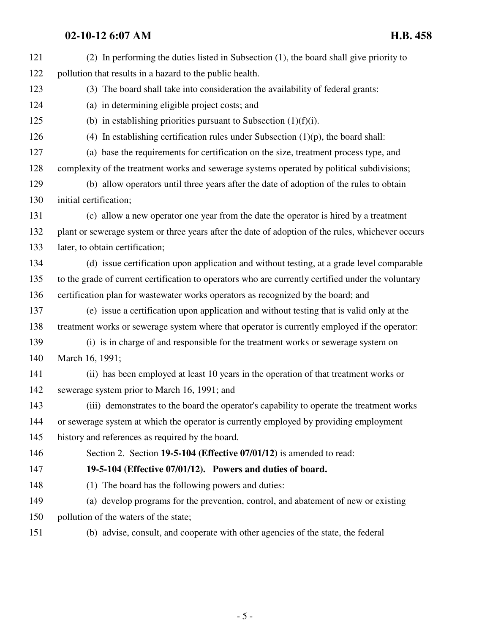| 121 | (2) In performing the duties listed in Subsection (1), the board shall give priority to            |
|-----|----------------------------------------------------------------------------------------------------|
| 122 | pollution that results in a hazard to the public health.                                           |
| 123 | (3) The board shall take into consideration the availability of federal grants:                    |
| 124 | (a) in determining eligible project costs; and                                                     |
| 125 | (b) in establishing priorities pursuant to Subsection $(1)(f)(i)$ .                                |
| 126 | (4) In establishing certification rules under Subsection $(1)(p)$ , the board shall:               |
| 127 | (a) base the requirements for certification on the size, treatment process type, and               |
| 128 | complexity of the treatment works and sewerage systems operated by political subdivisions;         |
| 129 | (b) allow operators until three years after the date of adoption of the rules to obtain            |
| 130 | initial certification;                                                                             |
| 131 | (c) allow a new operator one year from the date the operator is hired by a treatment               |
| 132 | plant or sewerage system or three years after the date of adoption of the rules, whichever occurs  |
| 133 | later, to obtain certification;                                                                    |
| 134 | (d) issue certification upon application and without testing, at a grade level comparable          |
| 135 | to the grade of current certification to operators who are currently certified under the voluntary |
| 136 | certification plan for wastewater works operators as recognized by the board; and                  |
| 137 | (e) issue a certification upon application and without testing that is valid only at the           |
| 138 | treatment works or sewerage system where that operator is currently employed if the operator:      |
| 139 | (i) is in charge of and responsible for the treatment works or sewerage system on                  |
| 140 | March 16, 1991;                                                                                    |
| 141 | (ii) has been employed at least 10 years in the operation of that treatment works or               |
| 142 | sewerage system prior to March 16, 1991; and                                                       |
| 143 | (iii) demonstrates to the board the operator's capability to operate the treatment works           |
| 144 | or sewerage system at which the operator is currently employed by providing employment             |
| 145 | history and references as required by the board.                                                   |
| 146 | Section 2. Section 19-5-104 (Effective 07/01/12) is amended to read:                               |
| 147 | 19-5-104 (Effective 07/01/12). Powers and duties of board.                                         |
| 148 | (1) The board has the following powers and duties:                                                 |
| 149 | (a) develop programs for the prevention, control, and abatement of new or existing                 |
| 150 | pollution of the waters of the state;                                                              |
| 151 | (b) advise, consult, and cooperate with other agencies of the state, the federal                   |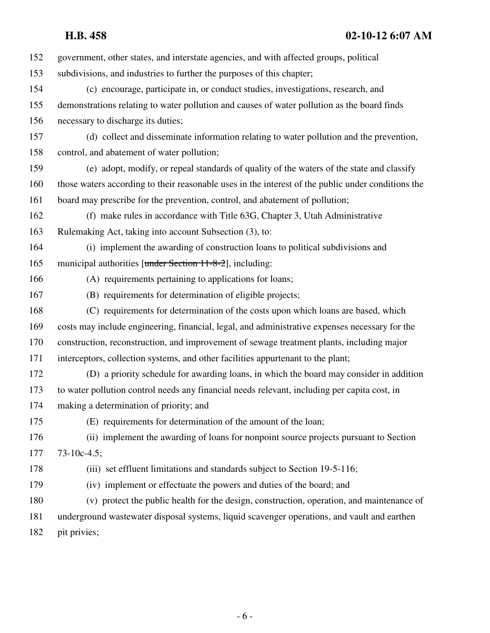## **H.B. 458 02-10-12 6:07 AM**

| 152 | government, other states, and interstate agencies, and with affected groups, political             |
|-----|----------------------------------------------------------------------------------------------------|
| 153 | subdivisions, and industries to further the purposes of this chapter;                              |
| 154 | (c) encourage, participate in, or conduct studies, investigations, research, and                   |
| 155 | demonstrations relating to water pollution and causes of water pollution as the board finds        |
| 156 | necessary to discharge its duties;                                                                 |
| 157 | (d) collect and disseminate information relating to water pollution and the prevention,            |
| 158 | control, and abatement of water pollution;                                                         |
| 159 | (e) adopt, modify, or repeal standards of quality of the waters of the state and classify          |
| 160 | those waters according to their reasonable uses in the interest of the public under conditions the |
| 161 | board may prescribe for the prevention, control, and abatement of pollution;                       |
| 162 | (f) make rules in accordance with Title 63G, Chapter 3, Utah Administrative                        |
| 163 | Rulemaking Act, taking into account Subsection (3), to:                                            |
| 164 | (i) implement the awarding of construction loans to political subdivisions and                     |
| 165 | municipal authorities [under Section 11-8-2], including:                                           |
| 166 | (A) requirements pertaining to applications for loans;                                             |
| 167 | (B) requirements for determination of eligible projects;                                           |
| 168 | (C) requirements for determination of the costs upon which loans are based, which                  |
| 169 | costs may include engineering, financial, legal, and administrative expenses necessary for the     |
| 170 | construction, reconstruction, and improvement of sewage treatment plants, including major          |
| 171 | interceptors, collection systems, and other facilities appurtenant to the plant;                   |
| 172 | (D) a priority schedule for awarding loans, in which the board may consider in addition            |
| 173 | to water pollution control needs any financial needs relevant, including per capita cost, in       |
| 174 | making a determination of priority; and                                                            |
| 175 | (E) requirements for determination of the amount of the loan;                                      |
| 176 | (ii) implement the awarding of loans for nonpoint source projects pursuant to Section              |
| 177 | $73-10c-4.5;$                                                                                      |
| 178 | (iii) set effluent limitations and standards subject to Section 19-5-116;                          |
| 179 | (iv) implement or effectuate the powers and duties of the board; and                               |
| 180 | (v) protect the public health for the design, construction, operation, and maintenance of          |
| 181 | underground wastewater disposal systems, liquid scavenger operations, and vault and earthen        |
| 182 | pit privies;                                                                                       |
|     |                                                                                                    |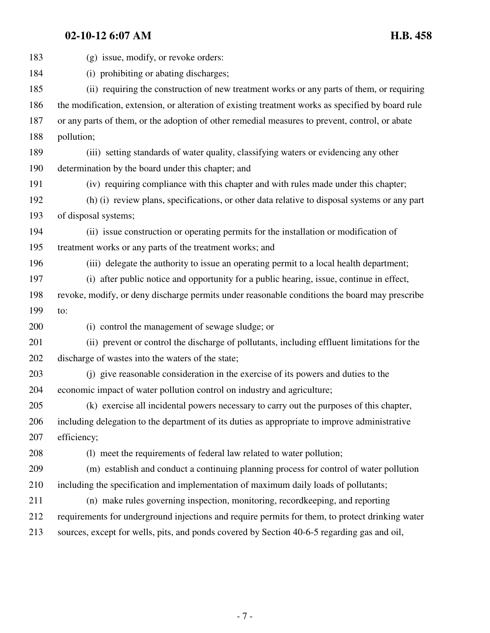183 (g) issue, modify, or revoke orders: 184 (i) prohibiting or abating discharges; 185 (ii) requiring the construction of new treatment works or any parts of them, or requiring 186 the modification, extension, or alteration of existing treatment works as specified by board rule 187 or any parts of them, or the adoption of other remedial measures to prevent, control, or abate 188 pollution; 189 (iii) setting standards of water quality, classifying waters or evidencing any other 190 determination by the board under this chapter; and 191 (iv) requiring compliance with this chapter and with rules made under this chapter; 192 (h) (i) review plans, specifications, or other data relative to disposal systems or any part 193 of disposal systems; 194 (ii) issue construction or operating permits for the installation or modification of 195 treatment works or any parts of the treatment works; and 196 (iii) delegate the authority to issue an operating permit to a local health department; 197 (i) after public notice and opportunity for a public hearing, issue, continue in effect, 198 revoke, modify, or deny discharge permits under reasonable conditions the board may prescribe 199 to: 200 (i) control the management of sewage sludge; or 201 (ii) prevent or control the discharge of pollutants, including effluent limitations for the 202 discharge of wastes into the waters of the state; 203 (j) give reasonable consideration in the exercise of its powers and duties to the 204 economic impact of water pollution control on industry and agriculture; 205 (k) exercise all incidental powers necessary to carry out the purposes of this chapter, 206 including delegation to the department of its duties as appropriate to improve administrative 207 efficiency; 208 (l) meet the requirements of federal law related to water pollution; 209 (m) establish and conduct a continuing planning process for control of water pollution 210 including the specification and implementation of maximum daily loads of pollutants; 211 (n) make rules governing inspection, monitoring, recordkeeping, and reporting 212 requirements for underground injections and require permits for them, to protect drinking water 213 sources, except for wells, pits, and ponds covered by Section 40-6-5 regarding gas and oil,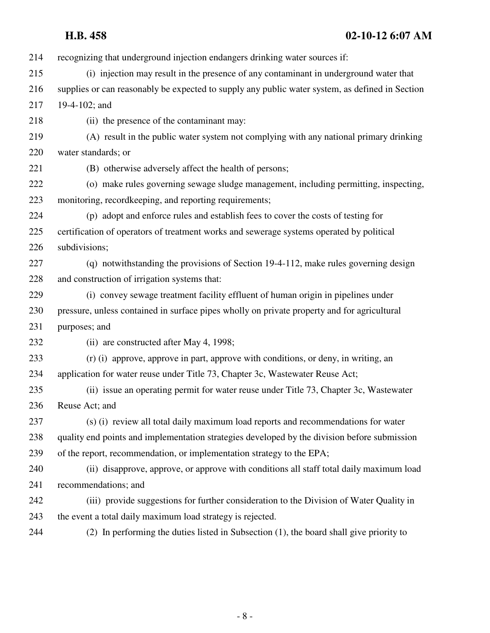214 recognizing that underground injection endangers drinking water sources if: 215 (i) injection may result in the presence of any contaminant in underground water that 216 supplies or can reasonably be expected to supply any public water system, as defined in Section 217 19-4-102; and 218 (ii) the presence of the contaminant may: 219 (A) result in the public water system not complying with any national primary drinking 220 water standards; or 221 (B) otherwise adversely affect the health of persons; 222 (o) make rules governing sewage sludge management, including permitting, inspecting, 223 monitoring, recordkeeping, and reporting requirements; 224 (p) adopt and enforce rules and establish fees to cover the costs of testing for 225 certification of operators of treatment works and sewerage systems operated by political 226 subdivisions; 227 (q) notwithstanding the provisions of Section 19-4-112, make rules governing design 228 and construction of irrigation systems that: 229 (i) convey sewage treatment facility effluent of human origin in pipelines under 230 pressure, unless contained in surface pipes wholly on private property and for agricultural 231 purposes; and 232 (ii) are constructed after May 4, 1998; 233 (r) (i) approve, approve in part, approve with conditions, or deny, in writing, an 234 application for water reuse under Title 73, Chapter 3c, Wastewater Reuse Act; 235 (ii) issue an operating permit for water reuse under Title 73, Chapter 3c, Wastewater 236 Reuse Act; and 237 (s) (i) review all total daily maximum load reports and recommendations for water 238 quality end points and implementation strategies developed by the division before submission 239 of the report, recommendation, or implementation strategy to the EPA; 240 (ii) disapprove, approve, or approve with conditions all staff total daily maximum load 241 recommendations; and 242 (iii) provide suggestions for further consideration to the Division of Water Quality in 243 the event a total daily maximum load strategy is rejected.

244 (2) In performing the duties listed in Subsection (1), the board shall give priority to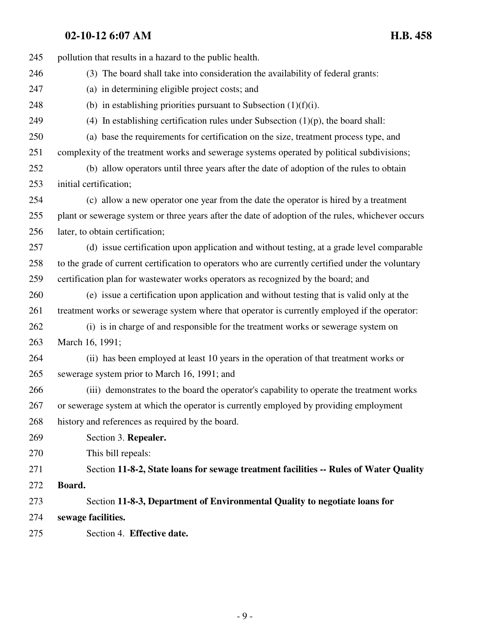| 245 | pollution that results in a hazard to the public health.                                           |
|-----|----------------------------------------------------------------------------------------------------|
| 246 | (3) The board shall take into consideration the availability of federal grants:                    |
| 247 | (a) in determining eligible project costs; and                                                     |
| 248 | (b) in establishing priorities pursuant to Subsection $(1)(f)(i)$ .                                |
| 249 | (4) In establishing certification rules under Subsection $(1)(p)$ , the board shall:               |
| 250 | (a) base the requirements for certification on the size, treatment process type, and               |
| 251 | complexity of the treatment works and sewerage systems operated by political subdivisions;         |
| 252 | (b) allow operators until three years after the date of adoption of the rules to obtain            |
| 253 | initial certification;                                                                             |
| 254 | (c) allow a new operator one year from the date the operator is hired by a treatment               |
| 255 | plant or sewerage system or three years after the date of adoption of the rules, whichever occurs  |
| 256 | later, to obtain certification;                                                                    |
| 257 | (d) issue certification upon application and without testing, at a grade level comparable          |
| 258 | to the grade of current certification to operators who are currently certified under the voluntary |
| 259 | certification plan for wastewater works operators as recognized by the board; and                  |
| 260 | (e) issue a certification upon application and without testing that is valid only at the           |
| 261 | treatment works or sewerage system where that operator is currently employed if the operator:      |
| 262 | (i) is in charge of and responsible for the treatment works or sewerage system on                  |
| 263 | March 16, 1991;                                                                                    |
| 264 | (ii) has been employed at least 10 years in the operation of that treatment works or               |
| 265 | sewerage system prior to March 16, 1991; and                                                       |
| 266 | (iii) demonstrates to the board the operator's capability to operate the treatment works           |
| 267 | or sewerage system at which the operator is currently employed by providing employment             |
| 268 | history and references as required by the board.                                                   |
| 269 | Section 3. Repealer.                                                                               |
| 270 | This bill repeals:                                                                                 |
| 271 | Section 11-8-2, State loans for sewage treatment facilities -- Rules of Water Quality              |
| 272 | Board.                                                                                             |
| 273 | Section 11-8-3, Department of Environmental Quality to negotiate loans for                         |
| 274 | sewage facilities.                                                                                 |
| 275 | Section 4. Effective date.                                                                         |